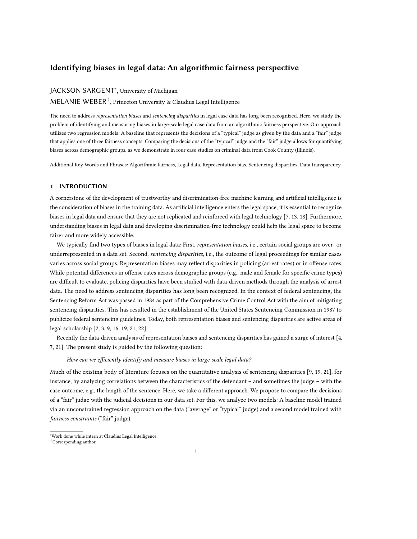## Identifying biases in legal data: An algorithmic fairness perspective

# **JACKSON SARGENT**<sup>\*</sup>, University of Michigan

MELANIE WEBER† , Princeton University & Claudius Legal Intelligence

The need to address representation biases and sentencing disparities in legal case data has long been recognized. Here, we study the problem of identifying and measuring biases in large-scale legal case data from an algorithmic fairness perspective. Our approach utilizes two regression models: A baseline that represents the decisions of a "typical" judge as given by the data and a "fair" judge that applies one of three fairness concepts. Comparing the decisions of the "typical" judge and the "fair" judge allows for quantifying biases across demographic groups, as we demonstrate in four case studies on criminal data from Cook County (Illinois).

Additional Key Words and Phrases: Algorithmic fairness, Legal data, Representation bias, Sentencing disparities, Data transparency

## 1 INTRODUCTION

A cornerstone of the development of trustworthy and discrimination-free machine learning and artificial intelligence is the consideration of biases in the training data. As artificial intelligence enters the legal space, it is essential to recognize biases in legal data and ensure that they are not replicated and reinforced with legal technology [\[7,](#page-10-0) [13,](#page-10-1) [18\]](#page-10-2). Furthermore, understanding biases in legal data and developing discrimination-free technology could help the legal space to become fairer and more widely accessible.

We typically find two types of biases in legal data: First, representation biases, i.e., certain social groups are over- or underrepresented in a data set. Second, *sentencing disparities*, i.e., the outcome of legal proceedings for similar cases varies across social groups. Representation biases may reflect disparities in policing (arrest rates) or in offense rates. While potential differences in offense rates across demographic groups (e.g., male and female for specific crime types) are difficult to evaluate, policing disparities have been studied with data-driven methods through the analysis of arrest data. The need to address sentencing disparities has long been recognized. In the context of federal sentencing, the Sentencing Reform Act was passed in 1984 as part of the Comprehensive Crime Control Act with the aim of mitigating sentencing disparities. This has resulted in the establishment of the United States Sentencing Commission in 1987 to publicize federal sentencing guidelines. Today, both representation biases and sentencing disparities are active areas of legal scholarship [\[2,](#page-10-3) [3,](#page-10-4) [9,](#page-10-5) [16,](#page-10-6) [19,](#page-10-7) [21,](#page-10-8) [22\]](#page-10-9).

Recently the data-driven analysis of representation biases and sentencing disparities has gained a surge of interest [\[4,](#page-10-10) [7,](#page-10-0) [21\]](#page-10-8). The present study is guided by the following question:

How can we efficiently identify and measure biases in large-scale legal data?

Much of the existing body of literature focuses on the quantitative analysis of sentencing disparities [\[9,](#page-10-5) [19,](#page-10-7) [21\]](#page-10-8), for instance, by analyzing correlations between the characteristics of the defendant – and sometimes the judge – with the case outcome, e.g., the length of the sentence. Here, we take a different approach. We propose to compare the decisions of a "fair" judge with the judicial decisions in our data set. For this, we analyze two models: A baseline model trained via an unconstrained regression approach on the data ("average" or "typical" judge) and a second model trained with fairness constraints ("fair" judge).

<sup>∗</sup>Work done while intern at Claudius Legal Intelligence.

<sup>†</sup>Corresponding author.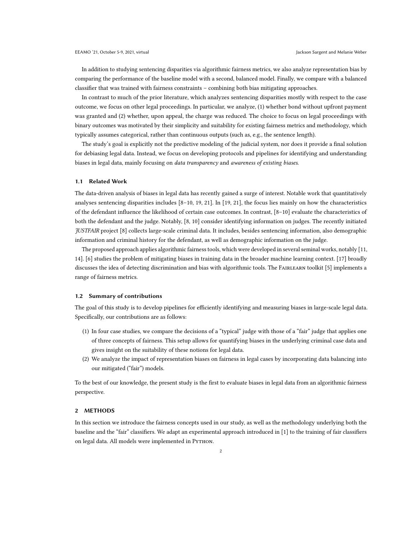In addition to studying sentencing disparities via algorithmic fairness metrics, we also analyze representation bias by comparing the performance of the baseline model with a second, balanced model. Finally, we compare with a balanced classifier that was trained with fairness constraints – combining both bias mitigating approaches.

In contrast to much of the prior literature, which analyzes sentencing disparities mostly with respect to the case outcome, we focus on other legal proceedings. In particular, we analyze, (1) whether bond without upfront payment was granted and (2) whether, upon appeal, the charge was reduced. The choice to focus on legal proceedings with binary outcomes was motivated by their simplicity and suitability for existing fairness metrics and methodology, which typically assumes categorical, rather than continuous outputs (such as, e.g., the sentence length).

The study's goal is explicitly not the predictive modeling of the judicial system, nor does it provide a final solution for debiasing legal data. Instead, we focus on developing protocols and pipelines for identifying and understanding biases in legal data, mainly focusing on data transparency and awareness of existing biases.

#### 1.1 Related Work

The data-driven analysis of biases in legal data has recently gained a surge of interest. Notable work that quantitatively analyses sentencing disparities includes [\[8](#page-10-11)[–10,](#page-10-12) [19,](#page-10-7) [21\]](#page-10-8). In [\[19,](#page-10-7) [21\]](#page-10-8), the focus lies mainly on how the characteristics of the defendant influence the likelihood of certain case outcomes. In contrast, [\[8–](#page-10-11)[10\]](#page-10-12) evaluate the characteristics of both the defendant and the judge. Notably, [\[8,](#page-10-11) [10\]](#page-10-12) consider identifying information on judges. The recently initiated JUSTFAIR project [\[8\]](#page-10-11) collects large-scale criminal data. It includes, besides sentencing information, also demographic information and criminal history for the defendant, as well as demographic information on the judge.

The proposed approach applies algorithmic fairness tools, which were developed in several seminal works, notably [\[11,](#page-10-13) [14\]](#page-10-14). [\[6\]](#page-10-15) studies the problem of mitigating biases in training data in the broader machine learning context. [\[17\]](#page-10-16) broadly discusses the idea of detecting discrimination and bias with algorithmic tools. The FAIRLEARN toolkit [\[5\]](#page-10-17) implements a range of fairness metrics.

### 1.2 Summary of contributions

The goal of this study is to develop pipelines for efficiently identifying and measuring biases in large-scale legal data. Specifically, our contributions are as follows:

- (1) In four case studies, we compare the decisions of a "typical" judge with those of a "fair" judge that applies one of three concepts of fairness. This setup allows for quantifying biases in the underlying criminal case data and gives insight on the suitability of these notions for legal data.
- (2) We analyze the impact of representation biases on fairness in legal cases by incorporating data balancing into our mitigated ("fair") models.

To the best of our knowledge, the present study is the first to evaluate biases in legal data from an algorithmic fairness perspective.

## 2 METHODS

In this section we introduce the fairness concepts used in our study, as well as the methodology underlying both the baseline and the "fair" classifiers. We adapt an experimental approach introduced in [\[1\]](#page-10-18) to the training of fair classifiers on legal data. All models were implemented in PYTHON.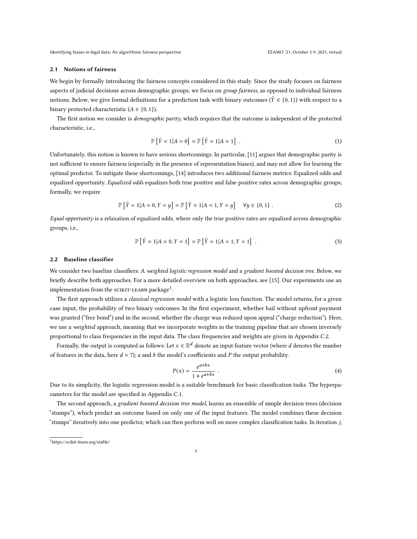Identifying biases in legal data: An algorithmic fairness perspective experience and the experiment of the EEAMO '21, October 5-9, 2021, virtual

### <span id="page-2-1"></span>2.1 Notions of fairness

We begin by formally introducing the fairness concepts considered in this study. Since the study focuses on fairness aspects of judicial decisions across demographic groups, we focus on group fairness, as opposed to individual fairness notions. Below, we give formal definitions for a prediction task with binary outcomes ( $\hat{Y} \in \{0, 1\}$ ) with respect to a binary protected characteristic  $(A \in \{0, 1\})$ .

The first notion we consider is demographic parity, which requires that the outcome is independent of the protected characteristic, i.e.,

$$
\mathbb{P}\left[\hat{Y} = 1 | A = 0\right] = \mathbb{P}\left[\hat{Y} = 1 | A = 1\right] \tag{1}
$$

Unfortunately, this notion is known to have serious shortcomings. In particular, [\[11\]](#page-10-13) argues that demographic parity is not sufficient to ensure fairness (especially in the presence of representation biases), and may not allow for learning the optimal predictor. To mitigate these shortcomings, [\[14\]](#page-10-14) introduces two additional fairness metrics: Equalized odds and equalized opportunity. Equalized odds equalizes both true positive and false positive rates across demographic groups; formally, we require

$$
\mathbb{P}\left[\hat{Y} = 1 | A = 0, Y = y\right] = \mathbb{P}\left[\hat{Y} = 1 | A = 1, Y = y\right] \quad \forall y \in \{0, 1\} \,.
$$
 (2)

Equal opportunity is a relaxation of equalized odds, where only the true positive rates are equalized across demographic groups, i.e.,

$$
\mathbb{P}\left[\hat{Y} = 1 | A = 0, Y = 1\right] = \mathbb{P}\left[\hat{Y} = 1 | A = 1, Y = 1\right] \tag{3}
$$

## 2.2 Baseline classifier

We consider two baseline classifiers: A weighted logistic regression model and a gradient boosted decision tree. Below, we briefly describe both approaches. For a more detailed overview on both approaches, see [\[15\]](#page-10-19). Our experiments use an implementation from the sCIKIT-LEARN package $^1$  $^1$ .

The first approach utilizes a classical regression model with a logistic loss function. The model returns, for a given case input, the probability of two binary outcomes: In the first experiment, whether bail without upfront payment was granted ("free bond") and in the second, whether the charge was reduced upon appeal ("charge reduction"). Here, we use a *weighted* approach, meaning that we incorporate weights in the training pipeline that are chosen inversely proportional to class frequencies in the input data. The class frequencies and weights are given in Appendix [C.2.](#page-13-0)

Formally, the output is computed as follows: Let  $x\in\mathbb{R}^d$  denote an input feature vector (where  $d$  denotes the number of features in the data, here  $d = 7$ ); a and b the model's coefficients and P the output probability.

$$
P(x) = \frac{e^{a+bx}}{1+e^{a+bx}} \tag{4}
$$

Due to its simplicity, the logistic regression model is a suitable benchmark for basic classification tasks. The hyperparameters for the model are specified in Appendix [C.1.](#page-13-1)

The second approach, a gradient boosted decision tree model, learns an ensemble of simple decision trees (decision "stumps"), which predict an outcome based on only one of the input features. The model combines these decision "stumps" iteratively into one predictor, which can then perform well on more complex classification tasks. In iteration ,

<span id="page-2-0"></span><sup>1</sup>https://scikit-learn.org/stable/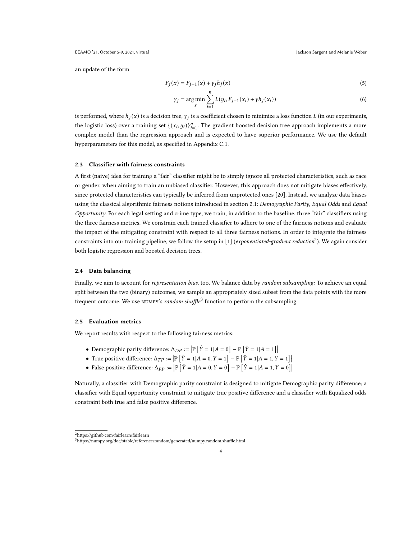an update of the form

$$
F_j(x) = F_{j-1}(x) + \gamma_j h_j(x) \tag{5}
$$

$$
\gamma_j = \underset{\gamma}{\arg\min} \sum_{i=1}^n L(y_i, F_{j-1}(x_i) + \gamma h_j(x_i))
$$
\n(6)

is performed, where  $h_j(x)$  is a decision tree,  $\gamma_j$  is a coefficient chosen to minimize a loss function L (in our experiments, the logistic loss) over a training set  $\{(x_i, y_i)\}_{i=1}^n$ . The gradient boosted decision tree approach implements a more complex model than the regression approach and is expected to have superior performance. We use the default hyperparameters for this model, as specified in Appendix [C.1.](#page-13-1)

#### 2.3 Classifier with fairness constraints

A first (naive) idea for training a "fair" classifier might be to simply ignore all protected characteristics, such as race or gender, when aiming to train an unbiased classifier. However, this approach does not mitigate biases effectively, since protected characteristics can typically be inferred from unprotected ones [\[20\]](#page-10-20). Instead, we analyze data biases using the classical algorithmic fairness notions introduced in section [2.1:](#page-2-1) Demographic Parity, Equal Odds and Equal Opportunity. For each legal setting and crime type, we train, in addition to the baseline, three "fair" classifiers using the three fairness metrics. We constrain each trained classifier to adhere to one of the fairness notions and evaluate the impact of the mitigating constraint with respect to all three fairness notions. In order to integrate the fairness constraints into our training pipeline, we follow the setup in [\[1\]](#page-10-18) (exponentiated-gradient reduction<sup>[2](#page-3-0)</sup>). We again consider both logistic regression and boosted decision trees.

### 2.4 Data balancing

Finally, we aim to account for representation bias, too. We balance data by random subsampling: To achieve an equal split between the two (binary) outcomes, we sample an appropriately sized subset from the data points with the more frequent outcome. We use NUMPY's random shuffle<sup>[3](#page-3-1)</sup> function to perform the subsampling.

#### 2.5 Evaluation metrics

We report results with respect to the following fairness metrics:

- Demographic parity difference:  $\Delta_{DP} := \left| \mathbb{P}\left[\hat{Y} = 1 | A = 0 \right] \mathbb{P}\left[\hat{Y} = 1 | A = 1 \right] \right|$
- True positive difference:  $\Delta_{TP} := \left| \mathbb{P}\left[\hat{Y} = 1 | A = 0, Y = 1 \right] \mathbb{P}\left[\hat{Y} = 1 | A = 1, Y = 1 \right] \right|$
- False positive difference:  $\Delta_{FP} := \left| \mathbb{P}\left[\hat{Y} = 1 | A = 0, Y = 0 \right] \mathbb{P}\left[\hat{Y} = 1 | A = 1, Y = 0 \right] \right|$

Naturally, a classifier with Demographic parity constraint is designed to mitigate Demographic parity difference; a classifier with Equal opportunity constraint to mitigate true positive difference and a classifier with Equalized odds constraint both true and false positive difference.

<span id="page-3-0"></span><sup>2</sup><https://github.com/fairlearn/fairlearn>

<span id="page-3-1"></span> $^{3} \rm{https://number.org/doc/stable/reference/random/generated/numpy.random.shuffle.html}$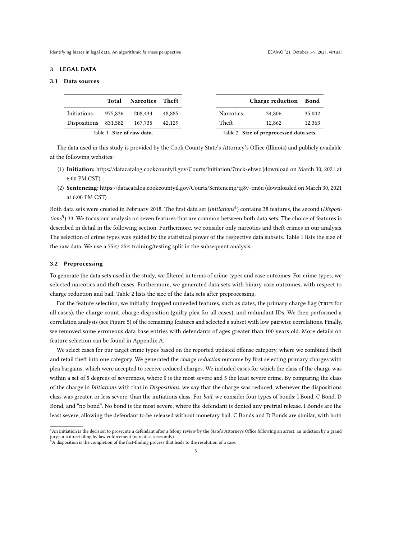#### 3 LEGAL DATA

## <span id="page-4-2"></span>3.1 Data sources

<span id="page-4-3"></span>

|                      | Total   | <b>Narcotics</b> Theft     |        |
|----------------------|---------|----------------------------|--------|
| Initiations          | 975.836 | 208.434                    | 48.885 |
| Dispositions 831,582 |         | 167,735                    | 42.129 |
|                      |         | Table 1. Size of raw data. |        |

The data used in this study is provided by the Cook County State's Attorney's Office (Illinois) and publicly available at the following websites:

- (1) Initiation: <https://datacatalog.cookcountyil.gov/Courts/Initiation/7mck-ehwz> (download on March 30, 2021 at 6:00 PM CST)
- (2) Sentencing: <https://datacatalog.cookcountyil.gov/Courts/Sentencing/tg8v-tm6u> (downloaded on March 30, 2021 at 6:00 PM CST)

Both data sets were created in February 2018. The first data set (Initiations $^4$  $^4$ ) contains 38 features, the second (Disposi-tions<sup>[5](#page-4-1)</sup>) 33. We focus our analysis on seven features that are common between both data sets. The choice of features is described in detail in the following section. Furthermore, we consider only narcotics and theft crimes in our analysis. The selection of crime types was guided by the statistical power of the respective data subsets. Table [1](#page-4-2) lists the size of the raw data. We use a 75%/ 25% training/testing split in the subsequent analysis.

#### 3.2 Preprocessing

To generate the data sets used in the study, we filtered in terms of crime types and case outcomes: For crime types, we selected narcotics and theft cases. Furthermore, we generated data sets with binary case outcomes, with respect to charge reduction and bail. Table [2](#page-4-3) lists the size of the data sets after preprocessing.

For the feature selection, we initially dropped unneeded features, such as dates, the primary charge flag (true for all cases), the charge count, charge disposition (guilty plea for all cases), and redundant IDs. We then performed a correlation analysis (see Figure [5\)](#page-11-0) of the remaining features and selected a subset with low pairwise correlations. Finally, we removed some erroneous data base entries with defendants of ages greater than 100 years old. More details on feature selection can be found in Appendix [A.](#page-11-1)

We select cases for our target crime types based on the reported updated offense category, where we combined theft and retail theft into one category. We generated the *charge reduction* outcome by first selecting primary charges with plea bargains, which were accepted to receive reduced charges. We included cases for which the class of the charge was within a set of 5 degrees of severeness, where 0 is the most severe and 5 the least severe crime. By comparing the class of the charge in *Initiations* with that in *Dispositions*, we say that the charge was reduced, whenever the dispositions class was greater, or less severe, than the initiations class. For bail, we consider four types of bonds: I Bond, C Bond, D Bond, and "no bond". No bond is the most severe, where the defendant is denied any pretrial release. I Bonds are the least severe, allowing the defendant to be released without monetary bail. C Bonds and D Bonds are similar, with both

<span id="page-4-0"></span><sup>4</sup>An initiation is the decision to prosecute a defendant after a felony review by the State's Attorneys Office following an arrest; an indiction by a grand jury; or a direct filing by law enforcement (narcotics cases only).

<span id="page-4-1"></span> $5\,$ A disposition is the completion of the fact-finding process that leads to the resolution of a case.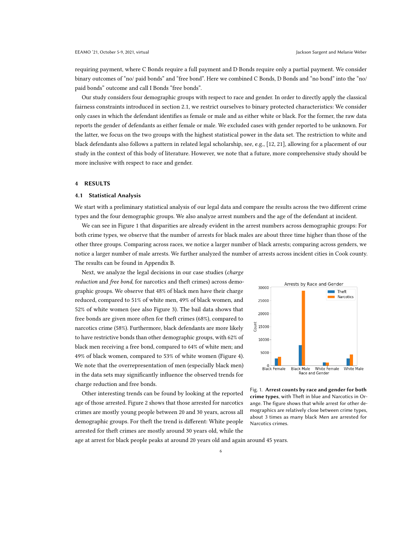requiring payment, where C Bonds require a full payment and D Bonds require only a partial payment. We consider binary outcomes of "no/ paid bonds" and "free bond". Here we combined C Bonds, D Bonds and "no bond" into the "no/ paid bonds" outcome and call I Bonds "free bonds".

Our study considers four demographic groups with respect to race and gender. In order to directly apply the classical fairness constraints introduced in section [2.1,](#page-2-1) we restrict ourselves to binary protected characteristics: We consider only cases in which the defendant identifies as female or male and as either white or black. For the former, the raw data reports the gender of defendants as either female or male. We excluded cases with gender reported to be unknown. For the latter, we focus on the two groups with the highest statistical power in the data set. The restriction to white and black defendants also follows a pattern in related legal scholarship, see, e.g., [\[12,](#page-10-21) [21\]](#page-10-8), allowing for a placement of our study in the context of this body of literature. However, we note that a future, more comprehensive study should be more inclusive with respect to race and gender.

## 4 RESULTS

#### 4.1 Statistical Analysis

We start with a preliminary statistical analysis of our legal data and compare the results across the two different crime types and the four demographic groups. We also analyze arrest numbers and the age of the defendant at incident.

We can see in Figure [1](#page-5-0) that disparities are already evident in the arrest numbers across demographic groups: For both crime types, we observe that the number of arrests for black males are about three time higher than those of the other three groups. Comparing across races, we notice a larger number of black arrests; comparing across genders, we notice a larger number of male arrests. We further analyzed the number of arrests across incident cities in Cook county. The results can be found in Appendix [B.](#page-12-0)

Next, we analyze the legal decisions in our case studies (charge reduction and free bond, for narcotics and theft crimes) across demographic groups. We observe that 48% of black men have their charge reduced, compared to 51% of white men, 49% of black women, and 52% of white women (see also Figure [3\)](#page-6-0). The bail data shows that free bonds are given more often for theft crimes (68%), compared to narcotics crime (58%). Furthermore, black defendants are more likely to have restrictive bonds than other demographic groups, with 62% of black men receiving a free bond, compared to 64% of white men; and 49% of black women, compared to 53% of white women (Figure [4\)](#page-7-0). We note that the overrepresentation of men (especially black men) in the data sets may significantly influence the observed trends for charge reduction and free bonds.

Other interesting trends can be found by looking at the reported age of those arrested. Figure [2](#page-6-1) shows that those arrested for narcotics crimes are mostly young people between 20 and 30 years, across all demographic groups. For theft the trend is different: White people arrested for theft crimes are mostly around 30 years old, while the

<span id="page-5-0"></span>



age at arrest for black people peaks at around 20 years old and again around 45 years.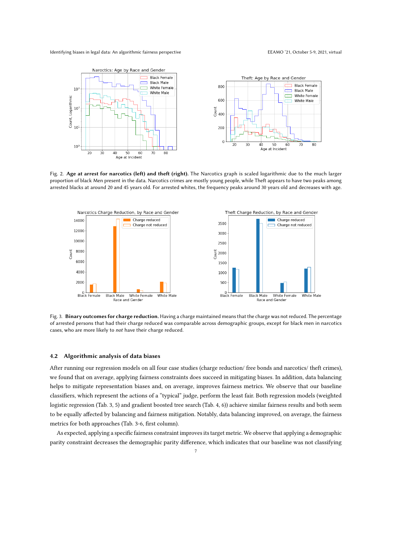<span id="page-6-1"></span>

Fig. 2. Age at arrest for narcotics (left) and theft (right). The Narcotics graph is scaled logarithmic due to the much larger proportion of black Men present in the data. Narcotics crimes are mostly young people, while Theft appears to have two peaks among arrested blacks at around 20 and 45 years old. For arrested whites, the frequency peaks around 30 years old and decreases with age.

<span id="page-6-0"></span>

Fig. 3. Binary outcomes for charge reduction. Having a charge maintained means that the charge was not reduced. The percentage of arrested persons that had their charge reduced was comparable across demographic groups, except for black men in narcotics cases, who are more likely to not have their charge reduced.

## 4.2 Algorithmic analysis of data biases

After running our regression models on all four case studies (charge reduction/ free bonds and narcotics/ theft crimes), we found that on average, applying fairness constraints does succeed in mitigating biases. In addition, data balancing helps to mitigate representation biases and, on average, improves fairness metrics. We observe that our baseline classifiers, which represent the actions of a "typical" judge, perform the least fair. Both regression models (weighted logistic regression (Tab. 3, 5) and gradient boosted tree search (Tab. 4, 6)) achieve similar fairness results and both seem to be equally affected by balancing and fairness mitigation. Notably, data balancing improved, on average, the fairness metrics for both approaches (Tab. 3-6, first column).

As expected, applying a specific fairness constraint improves its target metric. We observe that applying a demographic parity constraint decreases the demographic parity difference, which indicates that our baseline was not classifying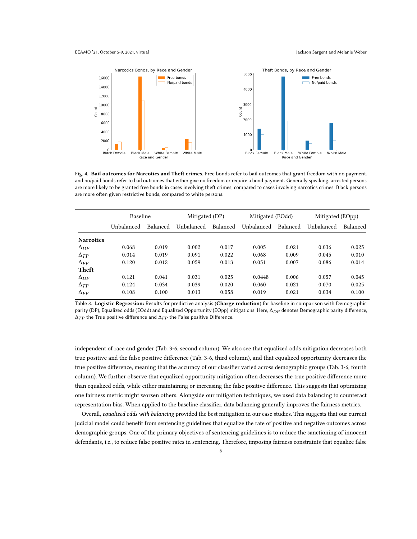#### EEAMO '21, October 5-9, 2021, virtual Jackson Sargent and Melanie Weber

<span id="page-7-0"></span>

Fig. 4. Bail outcomes for Narcotics and Theft crimes. Free bonds refer to bail outcomes that grant freedom with no payment, and no/paid bonds refer to bail outcomes that either give no freedom or require a bond payment. Generally speaking, arrested persons are more likely to be granted free bonds in cases involving theft crimes, compared to cases involving narcotics crimes. Black persons are more often given restrictive bonds, compared to white persons.

|                  | Baseline   |          | Mitigated (DP) |          | Mitigated (EOdd) |          | Mitigated (EOpp) |          |
|------------------|------------|----------|----------------|----------|------------------|----------|------------------|----------|
|                  | Unbalanced | Balanced | Unbalanced     | Balanced | Unbalanced       | Balanced | Unbalanced       | Balanced |
| <b>Narcotics</b> |            |          |                |          |                  |          |                  |          |
| $\Delta_{DP}$    | 0.068      | 0.019    | 0.002          | 0.017    | 0.005            | 0.021    | 0.036            | 0.025    |
| $\Delta_{TP}$    | 0.014      | 0.019    | 0.091          | 0.022    | 0.068            | 0.009    | 0.045            | 0.010    |
| $\Delta_{FP}$    | 0.120      | 0.012    | 0.059          | 0.013    | 0.051            | 0.007    | 0.086            | 0.014    |
| Theft            |            |          |                |          |                  |          |                  |          |
| $\Delta_{DP}$    | 0.121      | 0.041    | 0.031          | 0.025    | 0.0448           | 0.006    | 0.057            | 0.045    |
| $\Delta_{TP}$    | 0.124      | 0.034    | 0.039          | 0.020    | 0.060            | 0.021    | 0.070            | 0.025    |
| $\Delta_{FP}$    | 0.108      | 0.100    | 0.013          | 0.058    | 0.019            | 0.021    | 0.034            | 0.100    |

Table 3. Logistic Regression: Results for predictive analysis (Charge reduction) for baseline in comparison with Demographic parity (DP), Equalized odds (EOdd) and Equalized Opportunity (EOpp) mitigations. Here, Δ<sub>DP</sub> denotes Demographic parity difference,  $\Delta_{TP}$  the True positive difference and  $\Delta_{FP}$  the False positive Difference.

independent of race and gender (Tab. 3-6, second column). We also see that equalized odds mitigation decreases both true positive and the false positive difference (Tab. 3-6, third column), and that equalized opportunity decreases the true positive difference, meaning that the accuracy of our classifier varied across demographic groups (Tab. 3-6, fourth column). We further observe that equalized opportunity mitigation often decreases the true positive difference more than equalized odds, while either maintaining or increasing the false positive difference. This suggests that optimizing one fairness metric might worsen others. Alongside our mitigation techniques, we used data balancing to counteract representation bias. When applied to the baseline classifier, data balancing generally improves the fairness metrics.

Overall, equalized odds with balancing provided the best mitigation in our case studies. This suggests that our current judicial model could benefit from sentencing guidelines that equalize the rate of positive and negative outcomes across demographic groups. One of the primary objectives of sentencing guidelines is to reduce the sanctioning of innocent defendants, i.e., to reduce false positive rates in sentencing. Therefore, imposing fairness constraints that equalize false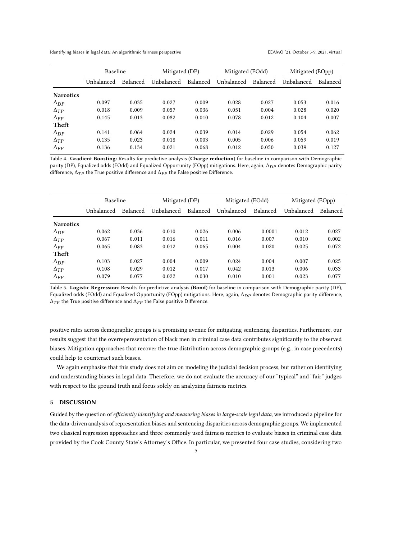Identifying biases in legal data: An algorithmic fairness perspective experience and the experiment of the EEAMO '21, October 5-9, 2021, virtual

|                  | <b>Baseline</b> |          | Mitigated (DP) |          | Mitigated (EOdd) |          | Mitigated (EOpp) |          |
|------------------|-----------------|----------|----------------|----------|------------------|----------|------------------|----------|
|                  | Unbalanced      | Balanced | Unbalanced     | Balanced | Unbalanced       | Balanced | Unbalanced       | Balanced |
| <b>Narcotics</b> |                 |          |                |          |                  |          |                  |          |
| $\Delta_{DP}$    | 0.097           | 0.035    | 0.027          | 0.009    | 0.028            | 0.027    | 0.053            | 0.016    |
| $\Delta_{TP}$    | 0.018           | 0.009    | 0.057          | 0.036    | 0.051            | 0.004    | 0.028            | 0.020    |
| $\Delta_{FP}$    | 0.145           | 0.013    | 0.082          | 0.010    | 0.078            | 0.012    | 0.104            | 0.007    |
| Theft            |                 |          |                |          |                  |          |                  |          |
| $\Delta_{DP}$    | 0.141           | 0.064    | 0.024          | 0.039    | 0.014            | 0.029    | 0.054            | 0.062    |
| $\Delta_{TP}$    | 0.135           | 0.023    | 0.018          | 0.003    | 0.005            | 0.006    | 0.059            | 0.019    |
| $\Delta_{FP}$    | 0.136           | 0.134    | 0.021          | 0.068    | 0.012            | 0.050    | 0.039            | 0.127    |

Table 4. Gradient Boosting: Results for predictive analysis (Charge reduction) for baseline in comparison with Demographic parity (DP), Equalized odds (EOdd) and Equalized Opportunity (EOpp) mitigations. Here, again, Δ<sub>DP</sub> denotes Demographic parity difference,  $\Delta_{TP}$  the True positive difference and  $\Delta_{FP}$  the False positive Difference.

|                  | Baseline   |          | Mitigated (DP) |          | Mitigated (EOdd) |          | Mitigated (EOpp) |          |
|------------------|------------|----------|----------------|----------|------------------|----------|------------------|----------|
|                  | Unbalanced | Balanced | Unbalanced     | Balanced | Unbalanced       | Balanced | Unbalanced       | Balanced |
| <b>Narcotics</b> |            |          |                |          |                  |          |                  |          |
| $\Delta_{DP}$    | 0.062      | 0.036    | 0.010          | 0.026    | 0.006            | 0.0001   | 0.012            | 0.027    |
| $\Delta_{TP}$    | 0.067      | 0.011    | 0.016          | 0.011    | 0.016            | 0.007    | 0.010            | 0.002    |
| $\Delta_{FP}$    | 0.065      | 0.083    | 0.012          | 0.065    | 0.004            | 0.020    | 0.025            | 0.072    |
| Theft            |            |          |                |          |                  |          |                  |          |
| $\Delta_{DP}$    | 0.103      | 0.027    | 0.004          | 0.009    | 0.024            | 0.004    | 0.007            | 0.025    |
| $\Delta_{TP}$    | 0.108      | 0.029    | 0.012          | 0.017    | 0.042            | 0.013    | 0.006            | 0.033    |
| $\Delta_{FP}$    | 0.079      | 0.077    | 0.022          | 0.030    | 0.010            | 0.001    | 0.023            | 0.077    |

Table 5. Logistic Regression: Results for predictive analysis (Bond) for baseline in comparison with Demographic parity (DP), Equalized odds (EOdd) and Equalized Opportunity (EOpp) mitigations. Here, again,  $\Delta_{DP}$  denotes Demographic parity difference,  $\Delta_{TP}$  the True positive difference and  $\Delta_{FP}$  the False positive Difference.

positive rates across demographic groups is a promising avenue for mitigating sentencing disparities. Furthermore, our results suggest that the overreperesentation of black men in criminal case data contributes significantly to the observed biases. Mitigation approaches that recover the true distribution across demographic groups (e.g., in case precedents) could help to counteract such biases.

We again emphasize that this study does not aim on modeling the judicial decision process, but rather on identifying and understanding biases in legal data. Therefore, we do not evaluate the accuracy of our "typical" and "fair" judges with respect to the ground truth and focus solely on analyzing fairness metrics.

## 5 DISCUSSION

Guided by the question of efficiently identifying and measuring biases in large-scale legal data, we introduced a pipeline for the data-driven analysis of representation biases and sentencing disparities across demographic groups. We implemented two classical regression approaches and three commonly used fairness metrics to evaluate biases in criminal case data provided by the Cook County State's Attorney's Office. In particular, we presented four case studies, considering two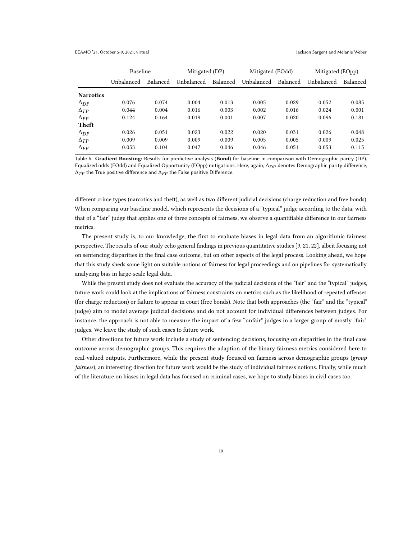#### EEAMO '21, October 5-9, 2021, virtual Jackson Sargent and Melanie Weber

|                  | <b>Baseline</b> |          | Mitigated (DP) |          | Mitigated (EOdd) |          | Mitigated (EOpp) |          |
|------------------|-----------------|----------|----------------|----------|------------------|----------|------------------|----------|
|                  | Unbalanced      | Balanced | Unbalanced     | Balanced | Unbalanced       | Balanced | Unbalanced       | Balanced |
| <b>Narcotics</b> |                 |          |                |          |                  |          |                  |          |
| $\Delta_{DP}$    | 0.076           | 0.074    | 0.004          | 0.013    | 0.005            | 0.029    | 0.052            | 0.085    |
| $\Delta_{TP}$    | 0.044           | 0.004    | 0.016          | 0.003    | 0.002            | 0.016    | 0.024            | 0.001    |
| $\Delta_{FP}$    | 0.124           | 0.164    | 0.019          | 0.001    | 0.007            | 0.020    | 0.096            | 0.181    |
| Theft            |                 |          |                |          |                  |          |                  |          |
| $\Delta_{DP}$    | 0.026           | 0.051    | 0.023          | 0.022    | 0.020            | 0.031    | 0.026            | 0.048    |
| $\Delta_{TP}$    | 0.009           | 0.009    | 0.009          | 0.009    | 0.005            | 0.005    | 0.009            | 0.025    |
| $\Delta_{FP}$    | 0.053           | 0.104    | 0.047          | 0.046    | 0.046            | 0.051    | 0.053            | 0.115    |

Table 6. Gradient Boosting: Results for predictive analysis (Bond) for baseline in comparison with Demographic parity (DP), Equalized odds (EOdd) and Equalized Opportunity (EOpp) mitigations. Here, again,  $\Delta_{DP}$  denotes Demographic parity difference,  $\Delta_{TP}$  the True positive difference and  $\Delta_{FP}$  the False positive Difference.

different crime types (narcotics and theft), as well as two different judicial decisions (charge reduction and free bonds). When comparing our baseline model, which represents the decisions of a "typical" judge according to the data, with that of a "fair" judge that applies one of three concepts of fairness, we observe a quantifiable difference in our fairness metrics.

The present study is, to our knowledge, the first to evaluate biases in legal data from an algorithmic fairness perspective. The results of our study echo general findings in previous quantitative studies [\[9,](#page-10-5) [21,](#page-10-8) [22\]](#page-10-9), albeit focusing not on sentencing disparities in the final case outcome, but on other aspects of the legal process. Looking ahead, we hope that this study sheds some light on suitable notions of fairness for legal proceedings and on pipelines for systematically analyzing bias in large-scale legal data.

While the present study does not evaluate the accuracy of the judicial decisions of the "fair" and the "typical" judges, future work could look at the implications of fairness constraints on metrics such as the likelihood of repeated offenses (for charge reduction) or failure to appear in court (free bonds). Note that both approaches (the "fair" and the "typical" judge) aim to model average judicial decisions and do not account for individual differences between judges. For instance, the approach is not able to measure the impact of a few "unfair" judges in a larger group of mostly "fair" judges. We leave the study of such cases to future work.

Other directions for future work include a study of sentencing decisions, focusing on disparities in the final case outcome across demographic groups. This requires the adaption of the binary fairness metrics considered here to real-valued outputs. Furthermore, while the present study focused on fairness across demographic groups (group fairness), an interesting direction for future work would be the study of individual fairness notions. Finally, while much of the literature on biases in legal data has focused on criminal cases, we hope to study biases in civil cases too.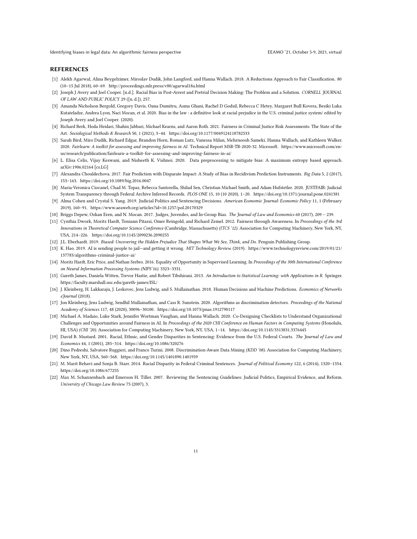Identifying biases in legal data: An algorithmic fairness perspective EEAMO '21, October 5-9, 2021, virtual

#### REFERENCES

- <span id="page-10-18"></span>[1] Alekh Agarwal, Alina Beygelzimer, Miroslav Dudik, John Langford, and Hanna Wallach. 2018. A Reductions Approach to Fair Classification. 80 (10–15 Jul 2018), 60–69.<http://proceedings.mlr.press/v80/agarwal18a.html>
- <span id="page-10-3"></span>[2] Joseph J Avery and Joel Cooper. [n.d.]. Racial Bias in Post-Arrest and Pretrial Decision Making: The Problem and a Solution. CORNELL JOURNAL OF LAW AND PUBLIC POLICY 29 ([n. d.]), 257.
- <span id="page-10-4"></span>[3] Amanda Nicholson Bergold, Gregory Davis, Oana Dumitru, Asma Ghani, Rachel D Godsil, Rebecca C Hetey, Margaret Bull Kovera, Besiki Luka Kutateladze, Andrea Lyon, Naci Mocan, et al. 2020. Bias in the law : a definitive look at racial prejudice in the U.S. criminal justice system/ edited by Joseph Avery and Joel Cooper. (2020).
- <span id="page-10-10"></span>[4] Richard Berk, Hoda Heidari, Shahin Jabbari, Michael Kearns, and Aaron Roth. 2021. Fairness in Criminal Justice Risk Assessments: The State of the Art. Sociological Methods & Research 50, 1 (2021), 3–44.<https://doi.org/10.1177/0049124118782533>
- <span id="page-10-17"></span>[5] Sarah Bird, Miro Dudík, Richard Edgar, Brandon Horn, Roman Lutz, Vanessa Milan, Mehrnoosh Sameki, Hanna Wallach, and Kathleen Walker. 2020. Fairlearn: A toolkit for assessing and improving fairness in AI. Technical Report MSR-TR-2020-32. Microsoft. [https://www.microsoft.com/en](https://www.microsoft.com/en-us/research/publication/fairlearn-a-toolkit-for-assessing-and-improving-fairness-in-ai/)[us/research/publication/fairlearn-a-toolkit-for-assessing-and-improving-fairness-in-ai/](https://www.microsoft.com/en-us/research/publication/fairlearn-a-toolkit-for-assessing-and-improving-fairness-in-ai/)
- <span id="page-10-15"></span>[6] L. Elisa Celis, Vijay Keswani, and Nisheeth K. Vishnoi. 2020. Data preprocessing to mitigate bias: A maximum entropy based approach. arXiv[:1906.02164](https://arxiv.org/abs/1906.02164) [cs.LG]
- <span id="page-10-0"></span>[7] Alexandra Chouldechova. 2017. Fair Prediction with Disparate Impact: A Study of Bias in Recidivism Prediction Instruments. Big Data 5, 2 (2017), 153–163.<https://doi.org/10.1089/big.2016.0047>
- <span id="page-10-11"></span>[8] Maria-Veronica Ciocanel, Chad M. Topaz, Rebecca Santorella, Shilad Sen, Christian Michael Smith, and Adam Hufstetler. 2020. JUSTFAIR: Judicial System Transparency through Federal Archive Inferred Records. PLOS ONE 15, 10 (10 2020), 1–20.<https://doi.org/10.1371/journal.pone.0241381>
- <span id="page-10-5"></span>[9] Alma Cohen and Crystal S. Yang. 2019. Judicial Politics and Sentencing Decisions. American Economic Journal: Economic Policy 11, 1 (February 2019), 160–91.<https://www.aeaweb.org/articles?id=10.1257/pol.20170329>
- <span id="page-10-12"></span>[10] Briggs Depew, Ozkan Eren, and N. Mocan. 2017. Judges, Juveniles, and In-Group Bias. The Journal of Law and Economics 60 (2017), 209 – 239.
- <span id="page-10-13"></span>[11] Cynthia Dwork, Moritz Hardt, Toniann Pitassi, Omer Reingold, and Richard Zemel. 2012. Fairness through Awareness, In Proceedings of the 3rd Innovations in Theoretical Computer Science Conference (Cambridge, Massachusetts) (ITCS '12). Association for Computing Machinery, New York, NY, USA, 214–226.<https://doi.org/10.1145/2090236.2090255>
- <span id="page-10-21"></span>[12] J.L. Eberhardt. 2019. Biased: Uncovering the Hidden Prejudice That Shapes What We See, Think, and Do. Penguin Publishing Group.
- <span id="page-10-1"></span>[13] K. Hao. 2019. AI is sending people to jail—and getting it wrong. MIT Technology Review. (2019). [https://www.technologyreview.com/2019/01/21/](https://www.technologyreview.com/2019/01/21/137783/algorithms-criminal-justice-ai/) [137783/algorithms-criminal-justice-ai/](https://www.technologyreview.com/2019/01/21/137783/algorithms-criminal-justice-ai/)
- <span id="page-10-14"></span>[14] Moritz Hardt, Eric Price, and Nathan Srebro. 2016. Equality of Opportunity in Supervised Learning. In Proceedings of the 30th International Conference on Neural Information Processing Systems (NIPS'16). 3323–3331.
- <span id="page-10-19"></span>[15] Gareth James, Daniela Witten, Trevor Hastie, and Robert Tibshirani. 2013. An Introduction to Statistical Learning: with Applications in R. Springer. <https://faculty.marshall.usc.edu/gareth-james/ISL/>
- <span id="page-10-6"></span>[16] J. Kleinberg, H. Lakkaraju, J. Leskovec, Jens Ludwig, and S. Mullainathan. 2018. Human Decisions and Machine Predictions. Economics of Networks eJournal (2018).
- <span id="page-10-16"></span>[17] Jon Kleinberg, Jens Ludwig, Sendhil Mullainathan, and Cass R. Sunstein. 2020. Algorithms as discrimination detectors. Proceedings of the National Academy of Sciences 117, 48 (2020), 30096–30100.<https://doi.org/10.1073/pnas.1912790117>
- <span id="page-10-2"></span>[18] Michael A. Madaio, Luke Stark, Jennifer Wortman Vaughan, and Hanna Wallach. 2020. Co-Designing Checklists to Understand Organizational Challenges and Opportunities around Fairness in AI. In Proceedings of the 2020 CHI Conference on Human Factors in Computing Systems (Honolulu, HI, USA) (CHI '20). Association for Computing Machinery, New York, NY, USA, 1–14.<https://doi.org/10.1145/3313831.3376445>
- <span id="page-10-7"></span>[19] David B. Mustard. 2001. Racial, Ethnic, and Gender Disparities in Sentencing: Evidence from the U.S. Federal Courts. The Journal of Law and Economics 44, 1 (2001), 285–314.<https://doi.org/10.1086/320276>
- <span id="page-10-20"></span>[20] Dino Pedreshi, Salvatore Ruggieri, and Franco Turini. 2008. Discrimination-Aware Data Mining (KDD '08). Association for Computing Machinery, New York, NY, USA, 560–568.<https://doi.org/10.1145/1401890.1401959>
- <span id="page-10-8"></span>[21] M. Marit Rehavi and Sonja B. Starr. 2014. Racial Disparity in Federal Criminal Sentences. Journal of Political Economy 122, 6 (2014), 1320–1354. <https://doi.org/10.1086/677255>
- <span id="page-10-9"></span>[22] Max M. Schanzenbach and Emerson H. Tiller. 2007. Reviewing the Sentencing Guidelines: Judicial Politics, Empirical Evidence, and Reform. University of Chicago Law Review 75 (2007), 3.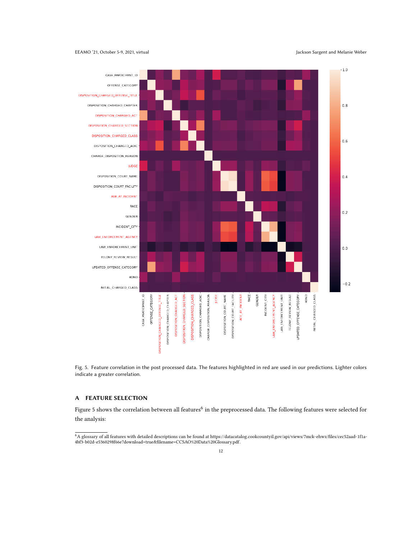#### <span id="page-11-0"></span>EEAMO '21, October 5-9, 2021, virtual Jackson Sargent and Melanie Weber



Fig. 5. Feature correlation in the post processed data. The features highlighted in red are used in our predictions. Lighter colors indicate a greater correlation.

## <span id="page-11-1"></span>A FEATURE SELECTION

Figure [5](#page-11-0) shows the correlation between all features $^6$  $^6$  in the preprocessed data. The following features were selected for the analysis:

<span id="page-11-2"></span><sup>6</sup>A glossary of all features with detailed descriptions can be found at [https://datacatalog.cookcountyil.gov/api/views/7mck-ehwz/files/cec52aad-1f1a-](https://datacatalog.cookcountyil.gov/api/views/7mck-ehwz/files/cec52aad-1f1a-4bf3-b02d-e5360298f66e?download=true&filename=CCSAO%20Data%20Glossary.pdf)[4bf3-b02d-e5360298f66e?download=true&filename=CCSAO%20Data%20Glossary.pdf.](https://datacatalog.cookcountyil.gov/api/views/7mck-ehwz/files/cec52aad-1f1a-4bf3-b02d-e5360298f66e?download=true&filename=CCSAO%20Data%20Glossary.pdf)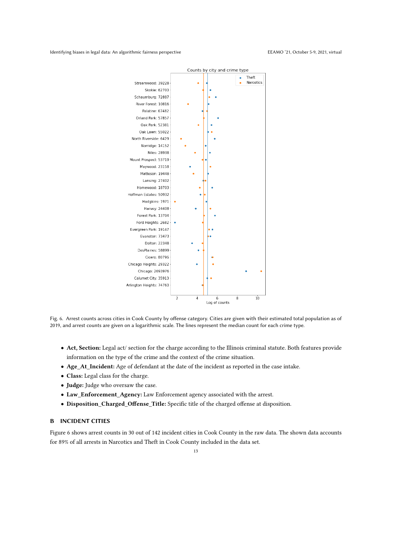<span id="page-12-1"></span>Identifying biases in legal data: An algorithmic fairness perspective experience and the experiment of the EEAMO '21, October 5-9, 2021, virtual



Fig. 6. Arrest counts across cities in Cook County by offense category. Cities are given with their estimated total population as of 2019, and arrest counts are given on a logarithmic scale. The lines represent the median count for each crime type.

- Act, Section: Legal act/ section for the charge according to the Illinois criminal statute. Both features provide information on the type of the crime and the context of the crime situation.
- Age\_At\_Incident: Age of defendant at the date of the incident as reported in the case intake.
- Class: Legal class for the charge.
- Judge: Judge who oversaw the case.
- Law\_Enforcement\_Agency: Law Enforcement agency associated with the arrest.
- Disposition\_Charged\_Offense\_Title: Specific title of the charged offense at disposition.

## <span id="page-12-0"></span>B INCIDENT CITIES

Figure [6](#page-12-1) shows arrest counts in 30 out of 142 incident cities in Cook County in the raw data. The shown data accounts for 89% of all arrests in Narcotics and Theft in Cook County included in the data set.